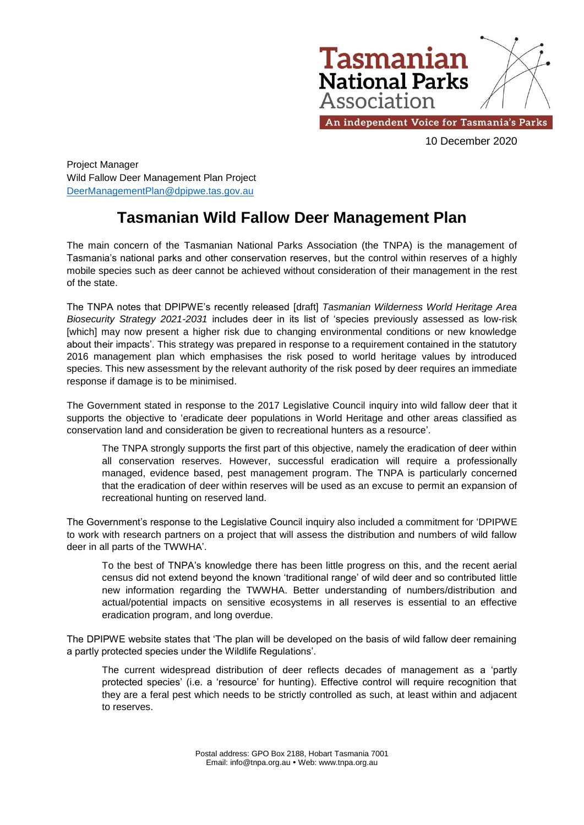

10 December 2020

Project Manager Wild Fallow Deer Management Plan Project [DeerManagementPlan@dpipwe.tas.gov.au](mailto:DeerManagementPlan@dpipwe.tas.gov.au)

# **Tasmanian Wild Fallow Deer Management Plan**

The main concern of the Tasmanian National Parks Association (the TNPA) is the management of Tasmania's national parks and other conservation reserves, but the control within reserves of a highly mobile species such as deer cannot be achieved without consideration of their management in the rest of the state.

The TNPA notes that DPIPWE's recently released [draft] *Tasmanian Wilderness World Heritage Area Biosecurity Strategy 2021-2031* includes deer in its list of 'species previously assessed as low-risk [which] may now present a higher risk due to changing environmental conditions or new knowledge about their impacts'. This strategy was prepared in response to a requirement contained in the statutory 2016 management plan which emphasises the risk posed to world heritage values by introduced species. This new assessment by the relevant authority of the risk posed by deer requires an immediate response if damage is to be minimised.

The Government stated in response to the 2017 Legislative Council inquiry into wild fallow deer that it supports the objective to 'eradicate deer populations in World Heritage and other areas classified as conservation land and consideration be given to recreational hunters as a resource'.

The TNPA strongly supports the first part of this objective, namely the eradication of deer within all conservation reserves. However, successful eradication will require a professionally managed, evidence based, pest management program. The TNPA is particularly concerned that the eradication of deer within reserves will be used as an excuse to permit an expansion of recreational hunting on reserved land.

The Government's response to the Legislative Council inquiry also included a commitment for 'DPIPWE to work with research partners on a project that will assess the distribution and numbers of wild fallow deer in all parts of the TWWHA'.

To the best of TNPA's knowledge there has been little progress on this, and the recent aerial census did not extend beyond the known 'traditional range' of wild deer and so contributed little new information regarding the TWWHA. Better understanding of numbers/distribution and actual/potential impacts on sensitive ecosystems in all reserves is essential to an effective eradication program, and long overdue.

The DPIPWE website states that 'The plan will be developed on the basis of wild fallow deer remaining a partly protected species under the Wildlife Regulations'.

The current widespread distribution of deer reflects decades of management as a 'partly protected species' (i.e. a 'resource' for hunting). Effective control will require recognition that they are a feral pest which needs to be strictly controlled as such, at least within and adjacent to reserves.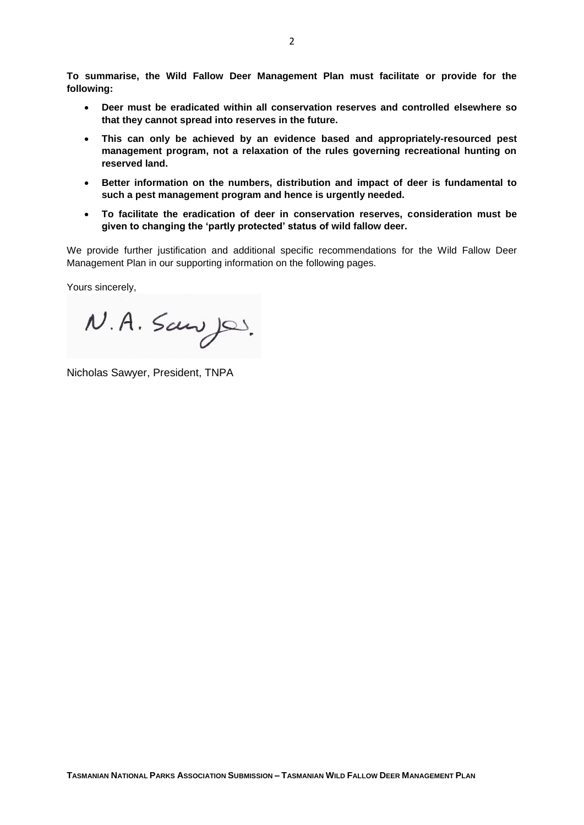**To summarise, the Wild Fallow Deer Management Plan must facilitate or provide for the following:**

- **Deer must be eradicated within all conservation reserves and controlled elsewhere so that they cannot spread into reserves in the future.**
- **This can only be achieved by an evidence based and appropriately-resourced pest management program, not a relaxation of the rules governing recreational hunting on reserved land.**
- **Better information on the numbers, distribution and impact of deer is fundamental to such a pest management program and hence is urgently needed.**
- **To facilitate the eradication of deer in conservation reserves, consideration must be given to changing the 'partly protected' status of wild fallow deer.**

We provide further justification and additional specific recommendations for the Wild Fallow Deer Management Plan in our supporting information on the following pages.

Yours sincerely,

N.A. Sauvje.

Nicholas Sawyer, President, TNPA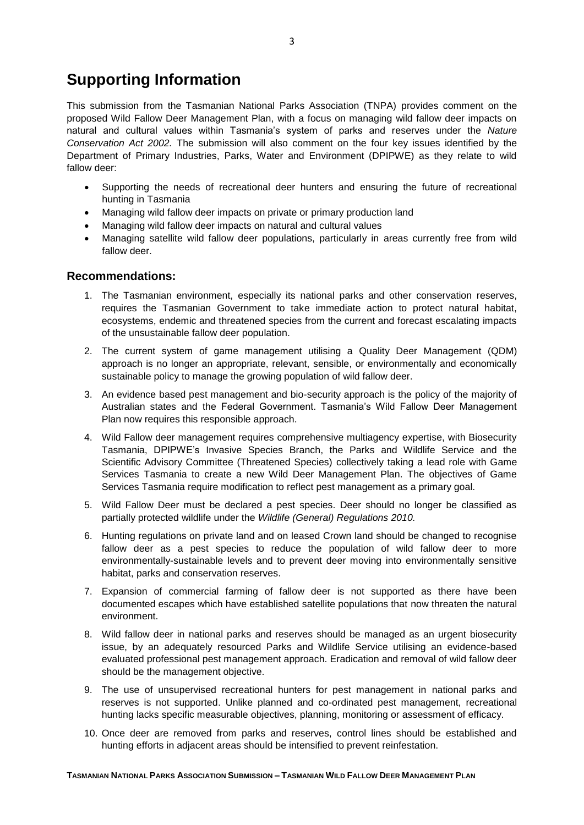This submission from the Tasmanian National Parks Association (TNPA) provides comment on the proposed Wild Fallow Deer Management Plan, with a focus on managing wild fallow deer impacts on natural and cultural values within Tasmania's system of parks and reserves under the *Nature Conservation Act 2002.* The submission will also comment on the four key issues identified by the Department of Primary Industries, Parks, Water and Environment (DPIPWE) as they relate to wild fallow deer:

- Supporting the needs of recreational deer hunters and ensuring the future of recreational hunting in Tasmania
- Managing wild fallow deer impacts on private or primary production land
- Managing wild fallow deer impacts on natural and cultural values
- Managing satellite wild fallow deer populations, particularly in areas currently free from wild fallow deer.

## **Recommendations:**

- 1. The Tasmanian environment, especially its national parks and other conservation reserves, requires the Tasmanian Government to take immediate action to protect natural habitat, ecosystems, endemic and threatened species from the current and forecast escalating impacts of the unsustainable fallow deer population.
- 2. The current system of game management utilising a Quality Deer Management (QDM) approach is no longer an appropriate, relevant, sensible, or environmentally and economically sustainable policy to manage the growing population of wild fallow deer.
- 3. An evidence based pest management and bio-security approach is the policy of the majority of Australian states and the Federal Government. Tasmania's Wild Fallow Deer Management Plan now requires this responsible approach.
- 4. Wild Fallow deer management requires comprehensive multiagency expertise, with Biosecurity Tasmania, DPIPWE's Invasive Species Branch, the Parks and Wildlife Service and the Scientific Advisory Committee (Threatened Species) collectively taking a lead role with Game Services Tasmania to create a new Wild Deer Management Plan. The objectives of Game Services Tasmania require modification to reflect pest management as a primary goal.
- 5. Wild Fallow Deer must be declared a pest species. Deer should no longer be classified as partially protected wildlife under the *Wildlife (General) Regulations 2010.*
- 6. Hunting regulations on private land and on leased Crown land should be changed to recognise fallow deer as a pest species to reduce the population of wild fallow deer to more environmentally-sustainable levels and to prevent deer moving into environmentally sensitive habitat, parks and conservation reserves.
- 7. Expansion of commercial farming of fallow deer is not supported as there have been documented escapes which have established satellite populations that now threaten the natural environment.
- 8. Wild fallow deer in national parks and reserves should be managed as an urgent biosecurity issue, by an adequately resourced Parks and Wildlife Service utilising an evidence-based evaluated professional pest management approach. Eradication and removal of wild fallow deer should be the management objective.
- 9. The use of unsupervised recreational hunters for pest management in national parks and reserves is not supported. Unlike planned and co-ordinated pest management, recreational hunting lacks specific measurable objectives, planning, monitoring or assessment of efficacy.
- 10. Once deer are removed from parks and reserves, control lines should be established and hunting efforts in adjacent areas should be intensified to prevent reinfestation.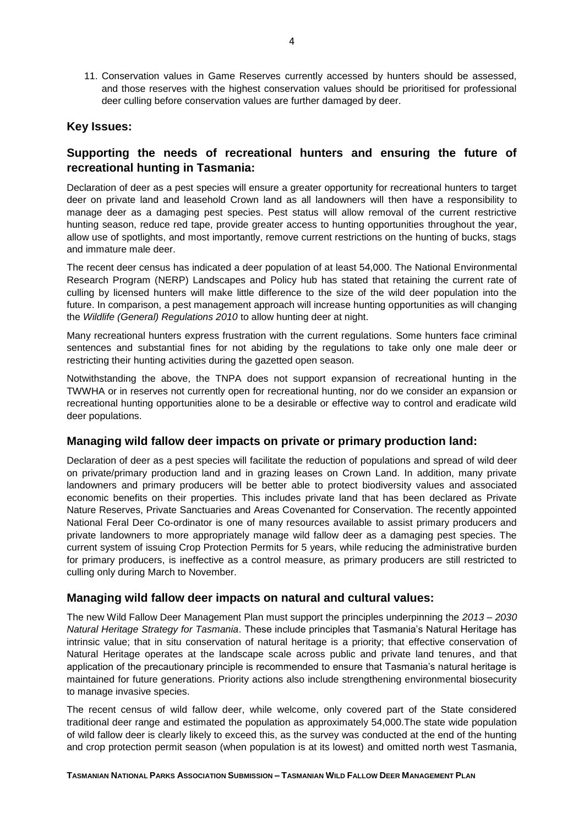11. Conservation values in Game Reserves currently accessed by hunters should be assessed, and those reserves with the highest conservation values should be prioritised for professional deer culling before conservation values are further damaged by deer.

## **Key Issues:**

# **Supporting the needs of recreational hunters and ensuring the future of recreational hunting in Tasmania:**

Declaration of deer as a pest species will ensure a greater opportunity for recreational hunters to target deer on private land and leasehold Crown land as all landowners will then have a responsibility to manage deer as a damaging pest species. Pest status will allow removal of the current restrictive hunting season, reduce red tape, provide greater access to hunting opportunities throughout the year, allow use of spotlights, and most importantly, remove current restrictions on the hunting of bucks, stags and immature male deer.

The recent deer census has indicated a deer population of at least 54,000. The National Environmental Research Program (NERP) Landscapes and Policy hub has stated that retaining the current rate of culling by licensed hunters will make little difference to the size of the wild deer population into the future. In comparison, a pest management approach will increase hunting opportunities as will changing the *Wildlife (General) Regulations 2010* to allow hunting deer at night.

Many recreational hunters express frustration with the current regulations. Some hunters face criminal sentences and substantial fines for not abiding by the regulations to take only one male deer or restricting their hunting activities during the gazetted open season.

Notwithstanding the above, the TNPA does not support expansion of recreational hunting in the TWWHA or in reserves not currently open for recreational hunting, nor do we consider an expansion or recreational hunting opportunities alone to be a desirable or effective way to control and eradicate wild deer populations.

#### **Managing wild fallow deer impacts on private or primary production land:**

Declaration of deer as a pest species will facilitate the reduction of populations and spread of wild deer on private/primary production land and in grazing leases on Crown Land. In addition, many private landowners and primary producers will be better able to protect biodiversity values and associated economic benefits on their properties. This includes private land that has been declared as Private Nature Reserves, Private Sanctuaries and Areas Covenanted for Conservation. The recently appointed National Feral Deer Co-ordinator is one of many resources available to assist primary producers and private landowners to more appropriately manage wild fallow deer as a damaging pest species. The current system of issuing Crop Protection Permits for 5 years, while reducing the administrative burden for primary producers, is ineffective as a control measure, as primary producers are still restricted to culling only during March to November.

#### **Managing wild fallow deer impacts on natural and cultural values:**

The new Wild Fallow Deer Management Plan must support the principles underpinning the *2013 – 2030 Natural Heritage Strategy for Tasmania*. These include principles that Tasmania's Natural Heritage has intrinsic value; that in situ conservation of natural heritage is a priority; that effective conservation of Natural Heritage operates at the landscape scale across public and private land tenures, and that application of the precautionary principle is recommended to ensure that Tasmania's natural heritage is maintained for future generations. Priority actions also include strengthening environmental biosecurity to manage invasive species.

The recent census of wild fallow deer, while welcome, only covered part of the State considered traditional deer range and estimated the population as approximately 54,000.The state wide population of wild fallow deer is clearly likely to exceed this, as the survey was conducted at the end of the hunting and crop protection permit season (when population is at its lowest) and omitted north west Tasmania,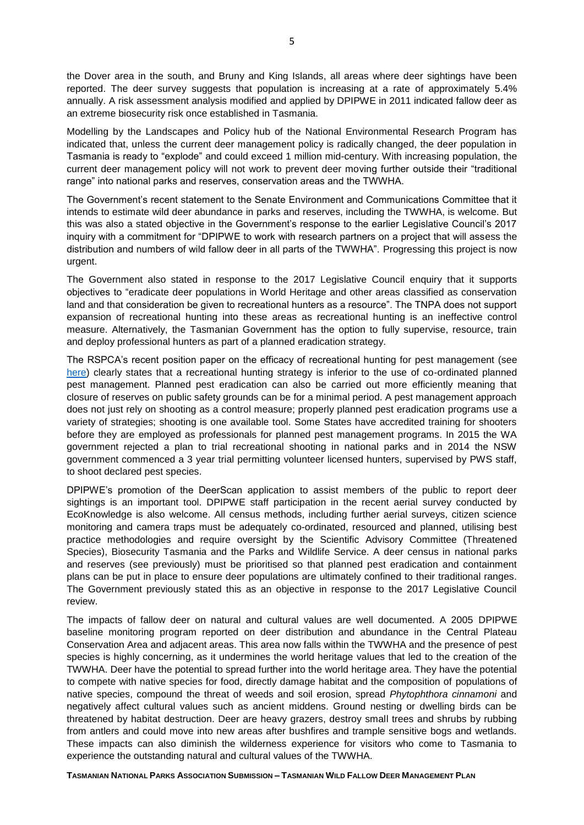the Dover area in the south, and Bruny and King Islands, all areas where deer sightings have been reported. The deer survey suggests that population is increasing at a rate of approximately 5.4% annually. A risk assessment analysis modified and applied by DPIPWE in 2011 indicated fallow deer as an extreme biosecurity risk once established in Tasmania.

5

Modelling by the Landscapes and Policy hub of the National Environmental Research Program has indicated that, unless the current deer management policy is radically changed, the deer population in Tasmania is ready to "explode" and could exceed 1 million mid-century. With increasing population, the current deer management policy will not work to prevent deer moving further outside their "traditional range" into national parks and reserves, conservation areas and the TWWHA.

The Government's recent statement to the Senate Environment and Communications Committee that it intends to estimate wild deer abundance in parks and reserves, including the TWWHA, is welcome. But this was also a stated objective in the Government's response to the earlier Legislative Council's 2017 inquiry with a commitment for "DPIPWE to work with research partners on a project that will assess the distribution and numbers of wild fallow deer in all parts of the TWWHA". Progressing this project is now urgent.

The Government also stated in response to the 2017 Legislative Council enquiry that it supports objectives to "eradicate deer populations in World Heritage and other areas classified as conservation land and that consideration be given to recreational hunters as a resource". The TNPA does not support expansion of recreational hunting into these areas as recreational hunting is an ineffective control measure. Alternatively, the Tasmanian Government has the option to fully supervise, resource, train and deploy professional hunters as part of a planned eradication strategy.

The RSPCA's recent position paper on the efficacy of recreational hunting for pest management (see [here\)](https://kb.rspca.org.au/knowledge-base/is-recreational-hunting-an-effective-form-of-pest-animal-management/) clearly states that a recreational hunting strategy is inferior to the use of co-ordinated planned pest management. Planned pest eradication can also be carried out more efficiently meaning that closure of reserves on public safety grounds can be for a minimal period. A pest management approach does not just rely on shooting as a control measure; properly planned pest eradication programs use a variety of strategies; shooting is one available tool. Some States have accredited training for shooters before they are employed as professionals for planned pest management programs. In 2015 the WA government rejected a plan to trial recreational shooting in national parks and in 2014 the NSW government commenced a 3 year trial permitting volunteer licensed hunters, supervised by PWS staff, to shoot declared pest species.

DPIPWE's promotion of the DeerScan application to assist members of the public to report deer sightings is an important tool. DPIPWE staff participation in the recent aerial survey conducted by EcoKnowledge is also welcome. All census methods, including further aerial surveys, citizen science monitoring and camera traps must be adequately co-ordinated, resourced and planned, utilising best practice methodologies and require oversight by the Scientific Advisory Committee (Threatened Species), Biosecurity Tasmania and the Parks and Wildlife Service. A deer census in national parks and reserves (see previously) must be prioritised so that planned pest eradication and containment plans can be put in place to ensure deer populations are ultimately confined to their traditional ranges. The Government previously stated this as an objective in response to the 2017 Legislative Council review.

The impacts of fallow deer on natural and cultural values are well documented. A 2005 DPIPWE baseline monitoring program reported on deer distribution and abundance in the Central Plateau Conservation Area and adjacent areas. This area now falls within the TWWHA and the presence of pest species is highly concerning, as it undermines the world heritage values that led to the creation of the TWWHA. Deer have the potential to spread further into the world heritage area. They have the potential to compete with native species for food, directly damage habitat and the composition of populations of native species, compound the threat of weeds and soil erosion, spread *Phytophthora cinnamoni* and negatively affect cultural values such as ancient middens. Ground nesting or dwelling birds can be threatened by habitat destruction. Deer are heavy grazers, destroy small trees and shrubs by rubbing from antlers and could move into new areas after bushfires and trample sensitive bogs and wetlands. These impacts can also diminish the wilderness experience for visitors who come to Tasmania to experience the outstanding natural and cultural values of the TWWHA.

TASMANIAN NATIONAL PARKS ASSOCIATION SUBMISSION - TASMANIAN WILD FALLOW DEER MANAGEMENT PLAN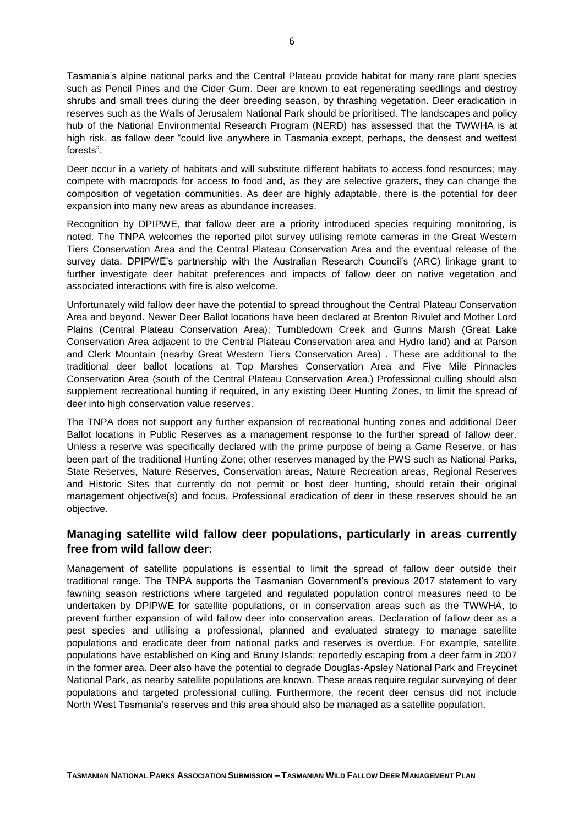Tasmania's alpine national parks and the Central Plateau provide habitat for many rare plant species such as Pencil Pines and the Cider Gum. Deer are known to eat regenerating seedlings and destroy shrubs and small trees during the deer breeding season, by thrashing vegetation. Deer eradication in reserves such as the Walls of Jerusalem National Park should be prioritised. The landscapes and policy hub of the National Environmental Research Program (NERD) has assessed that the TWWHA is at high risk, as fallow deer "could live anywhere in Tasmania except, perhaps, the densest and wettest forests".

Deer occur in a variety of habitats and will substitute different habitats to access food resources; may compete with macropods for access to food and, as they are selective grazers, they can change the composition of vegetation communities. As deer are highly adaptable, there is the potential for deer expansion into many new areas as abundance increases.

Recognition by DPIPWE, that fallow deer are a priority introduced species requiring monitoring, is noted. The TNPA welcomes the reported pilot survey utilising remote cameras in the Great Western Tiers Conservation Area and the Central Plateau Conservation Area and the eventual release of the survey data. DPIPWE's partnership with the Australian Research Council's (ARC) linkage grant to further investigate deer habitat preferences and impacts of fallow deer on native vegetation and associated interactions with fire is also welcome.

Unfortunately wild fallow deer have the potential to spread throughout the Central Plateau Conservation Area and beyond. Newer Deer Ballot locations have been declared at Brenton Rivulet and Mother Lord Plains (Central Plateau Conservation Area); Tumbledown Creek and Gunns Marsh (Great Lake Conservation Area adjacent to the Central Plateau Conservation area and Hydro land) and at Parson and Clerk Mountain (nearby Great Western Tiers Conservation Area) . These are additional to the traditional deer ballot locations at Top Marshes Conservation Area and Five Mile Pinnacles Conservation Area (south of the Central Plateau Conservation Area.) Professional culling should also supplement recreational hunting if required, in any existing Deer Hunting Zones, to limit the spread of deer into high conservation value reserves.

The TNPA does not support any further expansion of recreational hunting zones and additional Deer Ballot locations in Public Reserves as a management response to the further spread of fallow deer. Unless a reserve was specifically declared with the prime purpose of being a Game Reserve, or has been part of the traditional Hunting Zone; other reserves managed by the PWS such as National Parks, State Reserves, Nature Reserves, Conservation areas, Nature Recreation areas, Regional Reserves and Historic Sites that currently do not permit or host deer hunting, should retain their original management objective(s) and focus. Professional eradication of deer in these reserves should be an objective.

# **Managing satellite wild fallow deer populations, particularly in areas currently free from wild fallow deer:**

Management of satellite populations is essential to limit the spread of fallow deer outside their traditional range. The TNPA supports the Tasmanian Government's previous 2017 statement to vary fawning season restrictions where targeted and regulated population control measures need to be undertaken by DPIPWE for satellite populations, or in conservation areas such as the TWWHA, to prevent further expansion of wild fallow deer into conservation areas. Declaration of fallow deer as a pest species and utilising a professional, planned and evaluated strategy to manage satellite populations and eradicate deer from national parks and reserves is overdue. For example, satellite populations have established on King and Bruny Islands; reportedly escaping from a deer farm in 2007 in the former area. Deer also have the potential to degrade Douglas-Apsley National Park and Freycinet National Park, as nearby satellite populations are known. These areas require regular surveying of deer populations and targeted professional culling. Furthermore, the recent deer census did not include North West Tasmania's reserves and this area should also be managed as a satellite population.